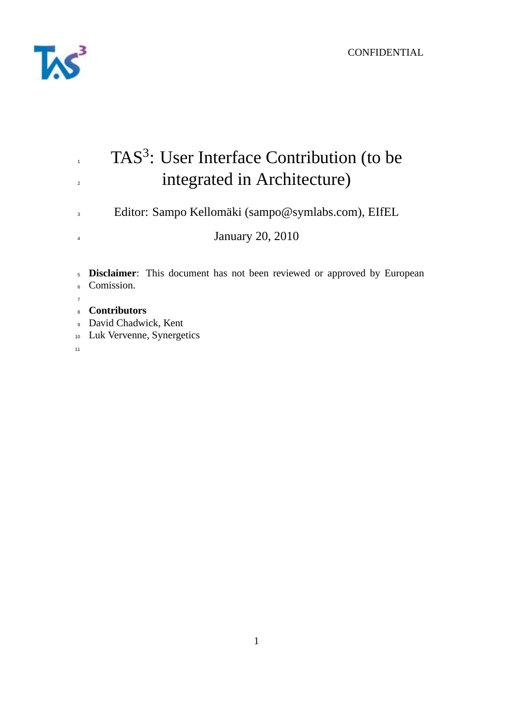

# $TAS<sup>3</sup>$ : User Interface Contribution (to be <sup>2</sup> integrated in Architecture) Editor: Sampo Kellomäki (sampo@symlabs.com), EIfEL January 20, 2010 **Disclaimer**: This document has not been reviewed or approved by European Comission.

- **Contributors**
- David Chadwick, Kent
- Luk Vervenne, Synergetics
-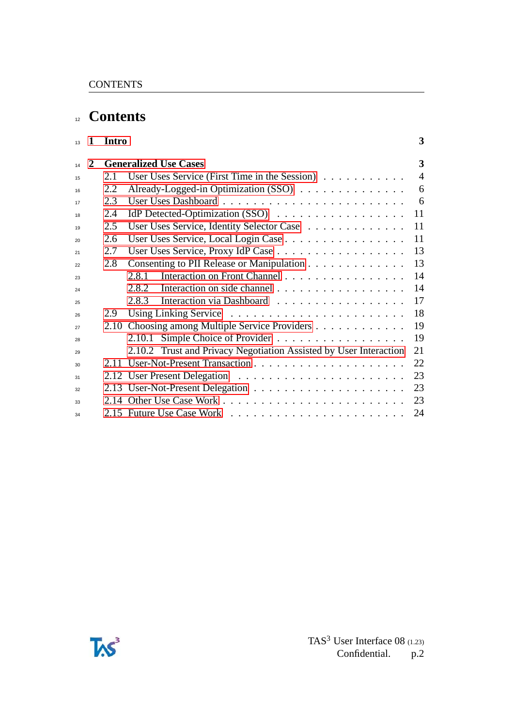## **Contents**

| 13 | $\mathbf{1}$ | <b>Intro</b> |                                                                   | 3              |
|----|--------------|--------------|-------------------------------------------------------------------|----------------|
| 14 | 2            |              | <b>Generalized Use Cases</b>                                      | 3              |
| 15 |              | 2.1          | User Uses Service (First Time in the Session) $\dots \dots \dots$ | $\overline{4}$ |
| 16 |              | 2.2          | Already-Logged-in Optimization (SSO)                              | 6              |
| 17 |              | 2.3          |                                                                   | 6              |
| 18 |              | 2.4          |                                                                   | 11             |
| 19 |              | 2.5          | User Uses Service, Identity Selector Case                         | 11             |
| 20 |              | 2.6          | User Uses Service, Local Login Case                               | 11             |
| 21 |              | 2.7          | User Uses Service, Proxy IdP Case                                 | 13             |
| 22 |              | 2.8          | Consenting to PII Release or Manipulation                         | 13             |
| 23 |              |              | Interaction on Front Channel<br>2.8.1                             | 14             |
| 24 |              |              | Interaction on side channel<br>2.8.2                              | 14             |
| 25 |              |              | Interaction via Dashboard<br>2.8.3                                | 17             |
| 26 |              | 2.9          |                                                                   | 18             |
| 27 |              |              | 2.10 Choosing among Multiple Service Providers                    | 19             |
| 28 |              |              | Simple Choice of Provider<br>2.10.1                               | 19             |
| 29 |              |              | 2.10.2 Trust and Privacy Negotiation Assisted by User Interaction | 21             |
| 30 |              |              |                                                                   | 22             |
| 31 |              |              |                                                                   | 23             |
| 32 |              |              |                                                                   | 23             |
| 33 |              |              |                                                                   | 23             |
| 34 |              |              |                                                                   | 24             |

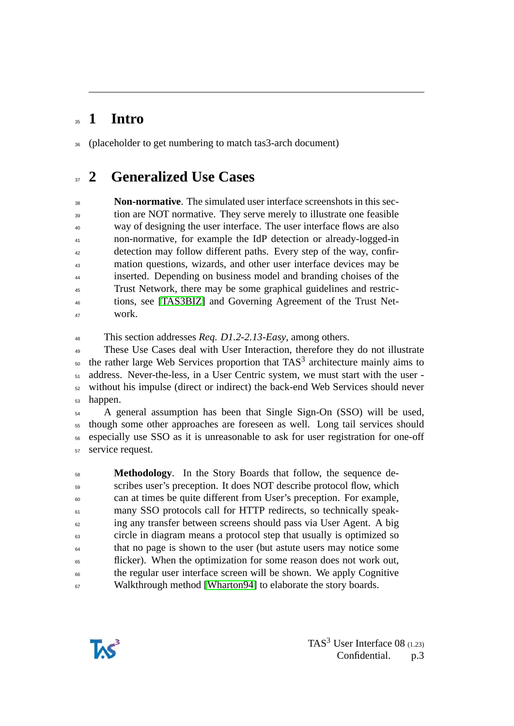## <span id="page-2-0"></span>**1 Intro**

(placeholder to get numbering to match tas3-arch document)

## <span id="page-2-1"></span>**2 Generalized Use Cases**

 **Non-normative**. The simulated user interface screenshots in this section are NOT normative. They serve merely to illustrate one feasible way of designing the user interface. The user interface flows are also non-normative, for example the IdP detection or already-logged-in <sup>42</sup> detection may follow different paths. Every step of the way, confir- mation questions, wizards, and other user interface devices may be inserted. Depending on business model and branding choises of the Trust Network, there may be some graphical guidelines and restric- tions, see [\[TAS3BIZ\]](#page-25-0) and Governing Agreement of the Trust Net-work.

This section addresses *Req. D1.2-2.13-Easy*, among others.

 These Use Cases deal with User Interaction, therefore they do not illustrate the rather large Web Services proportion that TAS<sup>3</sup> architecture mainly aims to  $_{51}$  address. Never-the-less, in a User Centric system, we must start with the user - without his impulse (direct or indirect) the back-end Web Services should never happen.

 A general assumption has been that Single Sign-On (SSO) will be used, though some other approaches are foreseen as well. Long tail services should especially use SSO as it is unreasonable to ask for user registration for one-off service request.

 **Methodology**. In the Story Boards that follow, the sequence de- scribes user's preception. It does NOT describe protocol flow, which can at times be quite different from User's preception. For example, <sup>61</sup> many SSO protocols call for HTTP redirects, so technically speak-<sup>62</sup> ing any transfer between screens should pass via User Agent. A big circle in diagram means a protocol step that usually is optimized so that no page is shown to the user (but astute users may notice some <sup>65</sup> flicker). When the optimization for some reason does not work out, the regular user interface screen will be shown. We apply Cognitive <sup>67</sup> Walkthrough method [\[Wharton94\]](#page-25-1) to elaborate the story boards.

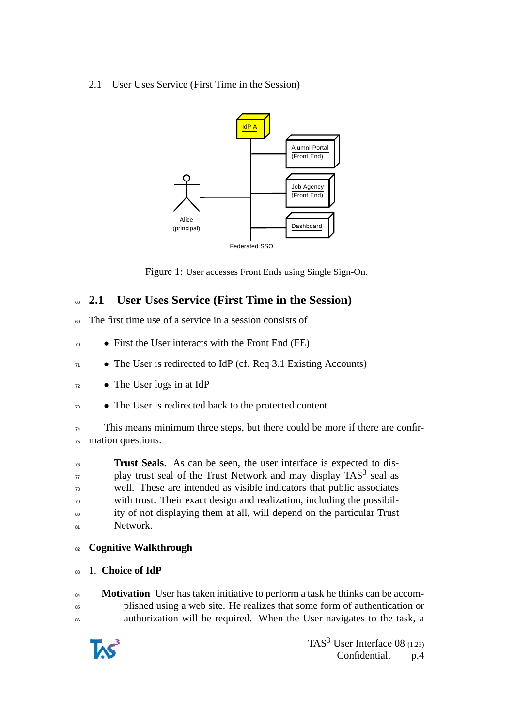

Figure 1: User accesses Front Ends using Single Sign-On.

## <span id="page-3-0"></span><sup>68</sup> **2.1 User Uses Service (First Time in the Session)**

- <sup>69</sup> The first time use of a service in a session consists of
- <sup>70</sup> First the User interacts with the Front End (FE)
- $71$  The User is redirected to IdP (cf. Req 3.1 Existing Accounts)
- <sup>72</sup> The User logs in at IdP
- <sup>73</sup> The User is redirected back to the protected content

<sup>74</sup> This means minimum three steps, but there could be more if there are confir-<sup>75</sup> mation questions.

 **Trust Seals**. As can be seen, the user interface is expected to dis- $\eta$  play trust seal of the Trust Network and may display TAS<sup>3</sup> seal as well. These are intended as visible indicators that public associates with trust. Their exact design and realization, including the possibil- ity of not displaying them at all, will depend on the particular Trust 81 Network.

#### <sup>82</sup> **Cognitive Walkthrough**

#### <sup>83</sup> 1. **Choice of IdP**

84 **Motivation** User has taken initiative to perform a task he thinks can be accom-<sup>85</sup> plished using a web site. He realizes that some form of authentication or <sup>86</sup> authorization will be required. When the User navigates to the task, a

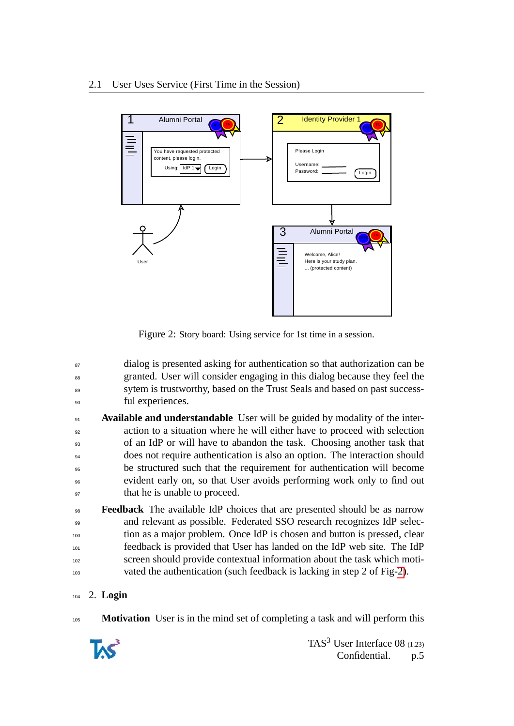

<span id="page-4-0"></span>Figure 2: Story board: Using service for 1st time in a session.

- <sup>87</sup> dialog is presented asking for authentication so that authorization can be <sup>88</sup> granted. User will consider engaging in this dialog because they feel the <sup>89</sup> sytem is trustworthy, based on the Trust Seals and based on past success-<sup>90</sup> ful experiences.
- **Available and understandable** User will be guided by modality of the inter-<sup>92</sup> action to a situation where he will either have to proceed with selection <sup>93</sup> of an IdP or will have to abandon the task. Choosing another task that <sup>94</sup> does not require authentication is also an option. The interaction should <sup>95</sup> be structured such that the requirement for authentication will become <sup>96</sup> evident early on, so that User avoids performing work only to find out <sup>97</sup> that he is unable to proceed.
- <sup>98</sup> **Feedback** The available IdP choices that are presented should be as narrow <sup>99</sup> and relevant as possible. Federated SSO research recognizes IdP selec-<sup>100</sup> tion as a major problem. Once IdP is chosen and button is pressed, clear <sup>101</sup> feedback is provided that User has landed on the IdP web site. The IdP <sup>102</sup> screen should provide contextual information about the task which moti-<sup>103</sup> vated the authentication (such feedback is lacking in step 2 of Fig[-2\)](#page-4-0).

#### <sup>104</sup> 2. **Login**

<sup>105</sup> **Motivation** User is in the mind set of completing a task and will perform this

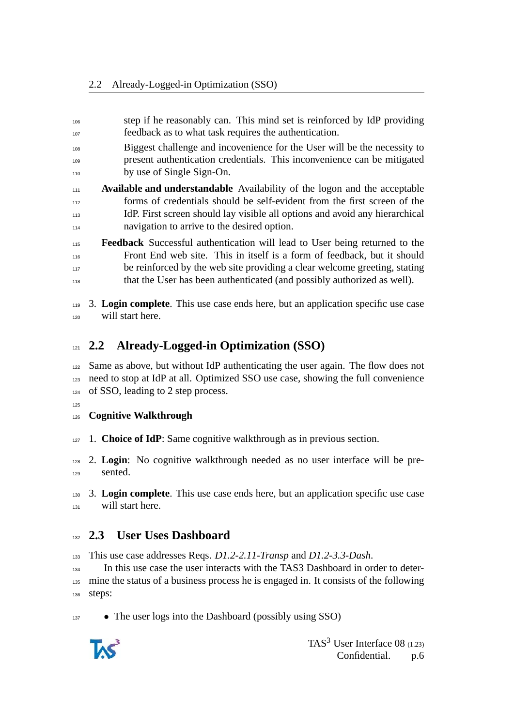- step if he reasonably can. This mind set is reinforced by IdP providing feedback as to what task requires the authentication.
- Biggest challenge and incovenience for the User will be the necessity to present authentication credentials. This inconvenience can be mitigated by use of Single Sign-On.
- **Available and understandable** Availability of the logon and the acceptable forms of credentials should be self-evident from the first screen of the IdP. First screen should lay visible all options and avoid any hierarchical navigation to arrive to the desired option.
- **Feedback** Successful authentication will lead to User being returned to the Front End web site. This in itself is a form of feedback, but it should <sup>117</sup> be reinforced by the web site providing a clear welcome greeting, stating that the User has been authenticated (and possibly authorized as well).
- 3. **Login complete**. This use case ends here, but an application specific use case will start here.

## <span id="page-5-0"></span>**2.2 Already-Logged-in Optimization (SSO)**

- Same as above, but without IdP authenticating the user again. The flow does not need to stop at IdP at all. Optimized SSO use case, showing the full convenience of SSO, leading to 2 step process.
- 

#### **Cognitive Walkthrough**

- 1. **Choice of IdP**: Same cognitive walkthrough as in previous section.
- 2. **Login**: No cognitive walkthrough needed as no user interface will be pre-sented.

 3. **Login complete**. This use case ends here, but an application specific use case will start here.

#### <span id="page-5-1"></span>**2.3 User Uses Dashboard**

This use case addresses Reqs. *D1.2-2.11-Transp* and *D1.2-3.3-Dash*.

 In this use case the user interacts with the TAS3 Dashboard in order to deter- mine the status of a business process he is engaged in. It consists of the following steps:

<sup>137</sup> • The user logs into the Dashboard (possibly using SSO)

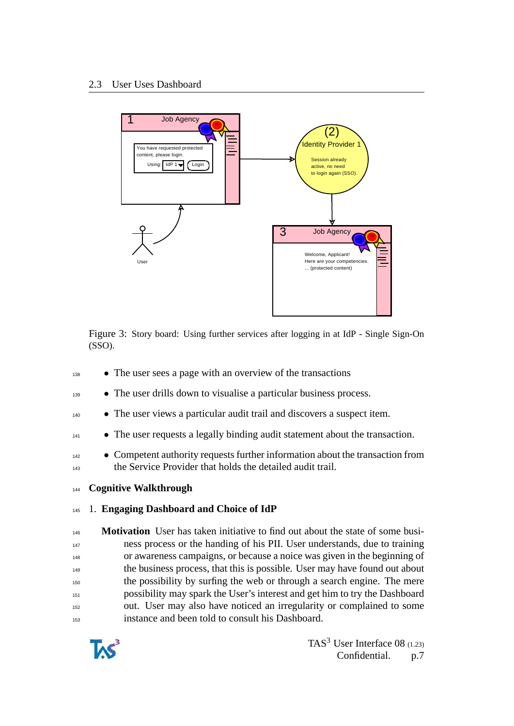

Figure 3: Story board: Using further services after logging in at IdP - Single Sign-On (SSO).

- <sup>138</sup> The user sees a page with an overview of the transactions
- <sup>139</sup> The user drills down to visualise a particular business process.
- <sup>140</sup> The user views a particular audit trail and discovers a suspect item.
- <sup>141</sup> The user requests a legally binding audit statement about the transaction.
- <sup>142</sup> Competent authority requests further information about the transaction from <sup>143</sup> the Service Provider that holds the detailed audit trail.
- <sup>144</sup> **Cognitive Walkthrough**

#### <sup>145</sup> 1. **Engaging Dashboard and Choice of IdP**

 **Motivation** User has taken initiative to find out about the state of some busi- ness process or the handing of his PII. User understands, due to training or awareness campaigns, or because a noice was given in the beginning of the business process, that this is possible. User may have found out about the possibility by surfing the web or through a search engine. The mere possibility may spark the User's interest and get him to try the Dashboard out. User may also have noticed an irregularity or complained to some instance and been told to consult his Dashboard.

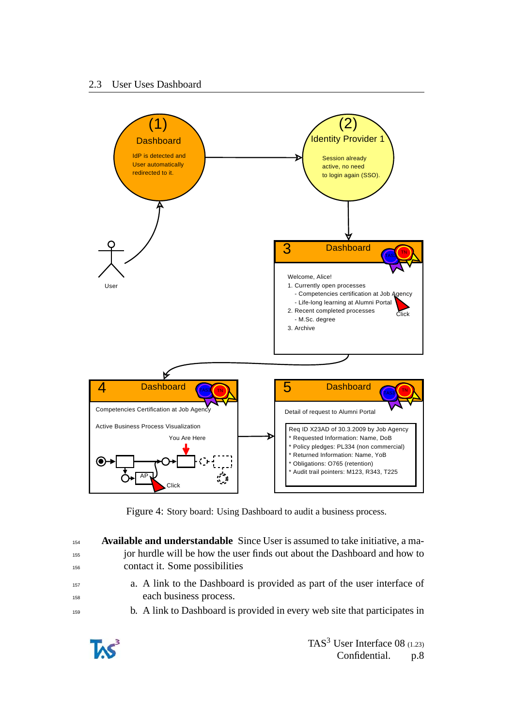

<span id="page-7-0"></span>Figure 4: Story board: Using Dashboard to audit a business process.

| 154 | <b>Available and understandable</b> Since User is assumed to take initiative, a ma- |
|-----|-------------------------------------------------------------------------------------|
| 155 | jor hurdle will be how the user finds out about the Dashboard and how to            |
| 156 | contact it. Some possibilities                                                      |
| 157 | a. A link to the Dashboard is provided as part of the user interface of             |
| 158 | each business process.                                                              |
| 159 | b. A link to Dashboard is provided in every web site that participates in           |

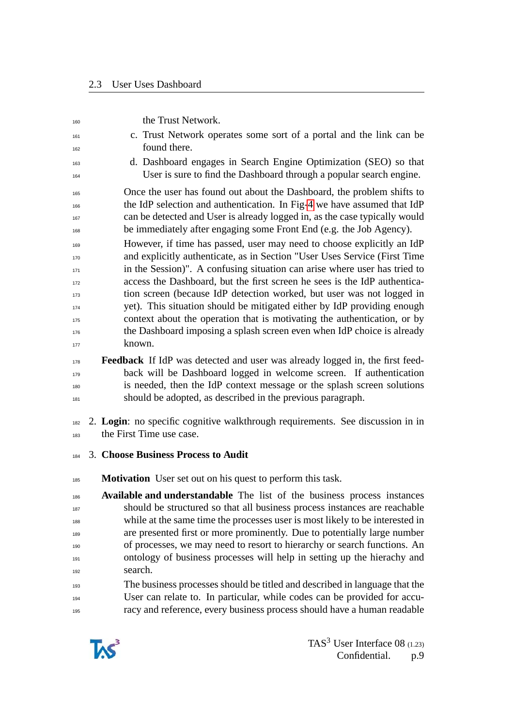| 160        | the Trust Network.                                                                                                                                     |
|------------|--------------------------------------------------------------------------------------------------------------------------------------------------------|
| 161        | c. Trust Network operates some sort of a portal and the link can be                                                                                    |
| 162        | found there.                                                                                                                                           |
| 163        | d. Dashboard engages in Search Engine Optimization (SEO) so that                                                                                       |
| 164        | User is sure to find the Dashboard through a popular search engine.                                                                                    |
| 165        | Once the user has found out about the Dashboard, the problem shifts to                                                                                 |
| 166        | the IdP selection and authentication. In Fig-4 we have assumed that IdP                                                                                |
| 167        | can be detected and User is already logged in, as the case typically would                                                                             |
| 168        | be immediately after engaging some Front End (e.g. the Job Agency).                                                                                    |
| 169        | However, if time has passed, user may need to choose explicitly an IdP                                                                                 |
| 170        | and explicitly authenticate, as in Section "User Uses Service (First Time<br>in the Session)". A confusing situation can arise where user has tried to |
| 171<br>172 | access the Dashboard, but the first screen he sees is the IdP authentica-                                                                              |
| 173        | tion screen (because IdP detection worked, but user was not logged in                                                                                  |
| 174        | yet). This situation should be mitigated either by IdP providing enough                                                                                |
| 175        | context about the operation that is motivating the authentication, or by                                                                               |
| 176        | the Dashboard imposing a splash screen even when IdP choice is already                                                                                 |
| 177        | known.                                                                                                                                                 |
| 178        | <b>Feedback</b> If IdP was detected and user was already logged in, the first feed-                                                                    |
| 179        | back will be Dashboard logged in welcome screen. If authentication                                                                                     |
| 180        | is needed, then the IdP context message or the splash screen solutions                                                                                 |
| 181        | should be adopted, as described in the previous paragraph.                                                                                             |
| 182<br>183 | 2. Login: no specific cognitive walkthrough requirements. See discussion in in<br>the First Time use case.                                             |
| 184        | 3. Choose Business Process to Audit                                                                                                                    |
| 185        | <b>Motivation</b> User set out on his quest to perform this task.                                                                                      |
| 186        | Available and understandable The list of the business process instances                                                                                |
| 187        | should be structured so that all business process instances are reachable                                                                              |
| 188        | while at the same time the processes user is most likely to be interested in                                                                           |
| 189        | are presented first or more prominently. Due to potentially large number<br>of processes, we may need to resort to hierarchy or search functions. An   |
| 190<br>191 | ontology of business processes will help in setting up the hierachy and                                                                                |
| 192        | search.                                                                                                                                                |
| 193        | The business processes should be titled and described in language that the                                                                             |
| 194        | User can relate to. In particular, while codes can be provided for accu-                                                                               |
| 195        | racy and reference, every business process should have a human readable                                                                                |

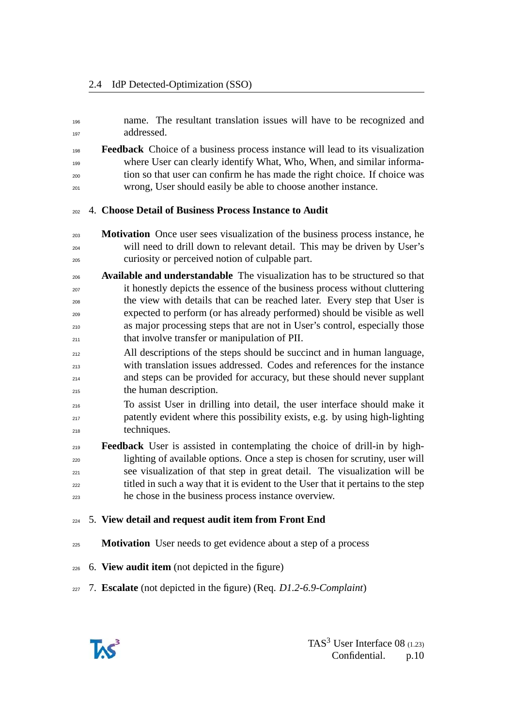- name. The resultant translation issues will have to be recognized and addressed.
- **Feedback** Choice of a business process instance will lead to its visualization where User can clearly identify What, Who, When, and similar informa- tion so that user can confirm he has made the right choice. If choice was wrong, User should easily be able to choose another instance.

#### 4. **Choose Detail of Business Process Instance to Audit**

- **Motivation** Once user sees visualization of the business process instance, he will need to drill down to relevant detail. This may be driven by User's curiosity or perceived notion of culpable part.
- **Available and understandable** The visualization has to be structured so that it honestly depicts the essence of the business process without cluttering the view with details that can be reached later. Every step that User is expected to perform (or has already performed) should be visible as well as major processing steps that are not in User's control, especially those that involve transfer or manipulation of PII.
- 212 All descriptions of the steps should be succinct and in human language, with translation issues addressed. Codes and references for the instance and steps can be provided for accuracy, but these should never supplant the human description.
- To assist User in drilling into detail, the user interface should make it patently evident where this possibility exists, e.g. by using high-lighting techniques.
- **Feedback** User is assisted in contemplating the choice of drill-in by high- lighting of available options. Once a step is chosen for scrutiny, user will see visualization of that step in great detail. The visualization will be <sub>222</sub> titled in such a way that it is evident to the User that it pertains to the step he chose in the business process instance overview.
- 5. **View detail and request audit item from Front End**
- **Motivation** User needs to get evidence about a step of a process
- 6. **View audit item** (not depicted in the figure)
- 7. **Escalate** (not depicted in the figure) (Req. *D1.2-6.9-Complaint*)

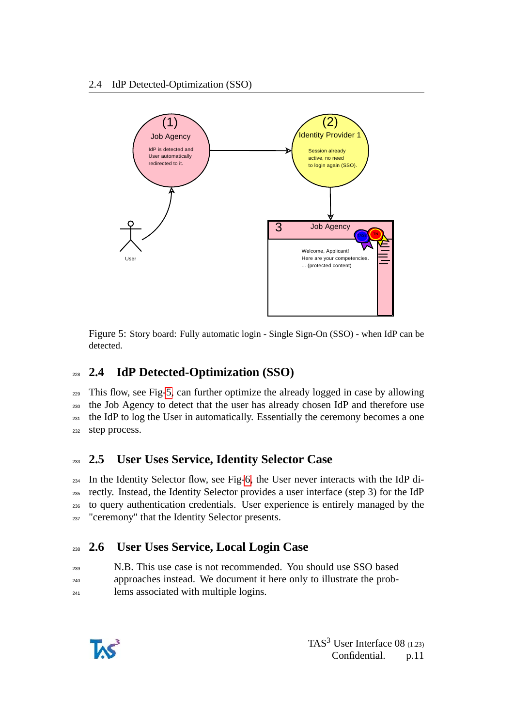

<span id="page-10-3"></span>Figure 5: Story board: Fully automatic login - Single Sign-On (SSO) - when IdP can be detected.

## <span id="page-10-0"></span><sup>228</sup> **2.4 IdP Detected-Optimization (SSO)**

 This flow, see Fig[-5,](#page-10-3) can further optimize the already logged in case by allowing the Job Agency to detect that the user has already chosen IdP and therefore use <sup>231</sup> the IdP to log the User in automatically. Essentially the ceremony becomes a one step process.

## <span id="page-10-1"></span><sup>233</sup> **2.5 User Uses Service, Identity Selector Case**

 In the Identity Selector flow, see Fig[-6,](#page-11-0) the User never interacts with the IdP di- rectly. Instead, the Identity Selector provides a user interface (step 3) for the IdP to query authentication credentials. User experience is entirely managed by the <sup>237</sup> "ceremony" that the Identity Selector presents.

## <span id="page-10-2"></span><sup>238</sup> **2.6 User Uses Service, Local Login Case**

<sup>239</sup> N.B. This use case is not recommended. You should use SSO based <sup>240</sup> approaches instead. We document it here only to illustrate the prob-<sup>241</sup> lems associated with multiple logins.

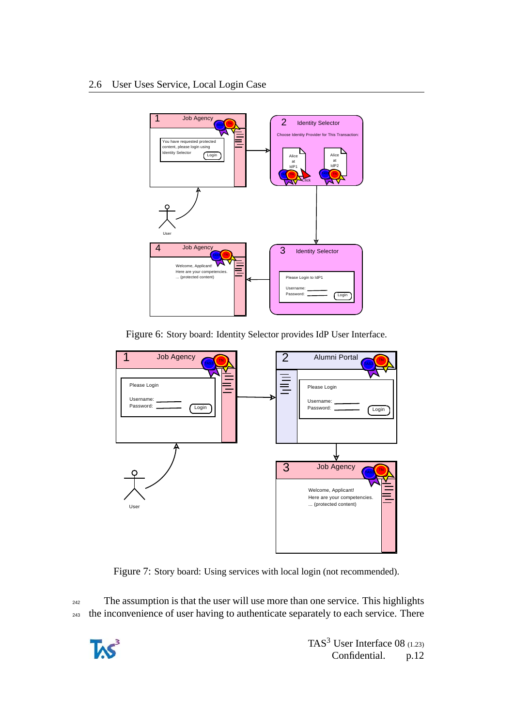

<span id="page-11-0"></span>Figure 6: Story board: Identity Selector provides IdP User Interface.



Figure 7: Story board: Using services with local login (not recommended).

<sup>242</sup> The assumption is that the user will use more than one service. This highlights <sup>243</sup> the inconvenience of user having to authenticate separately to each service. There

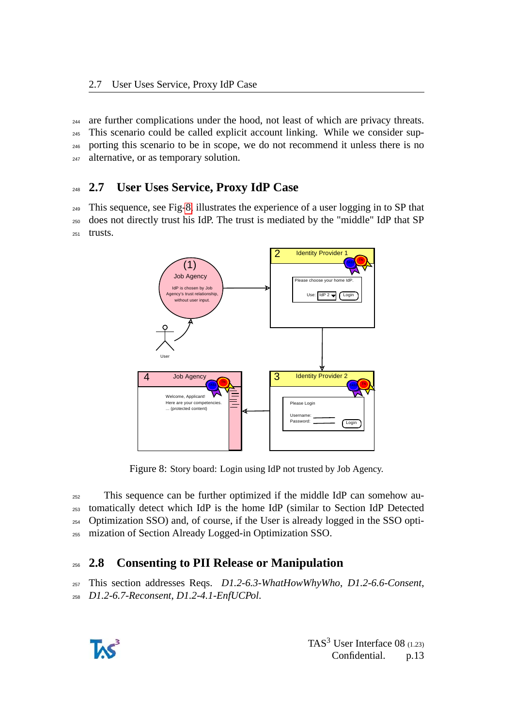are further complications under the hood, not least of which are privacy threats. This scenario could be called explicit account linking. While we consider sup- porting this scenario to be in scope, we do not recommend it unless there is no 247 alternative, or as temporary solution.

## <span id="page-12-0"></span><sup>248</sup> **2.7 User Uses Service, Proxy IdP Case**

<sup>249</sup> This sequence, see Fig[-8,](#page-12-2) illustrates the experience of a user logging in to SP that <sup>250</sup> does not directly trust his IdP. The trust is mediated by the "middle" IdP that SP <sup>251</sup> trusts.



<span id="page-12-2"></span>Figure 8: Story board: Login using IdP not trusted by Job Agency.

 This sequence can be further optimized if the middle IdP can somehow au- tomatically detect which IdP is the home IdP (similar to Section IdP Detected Optimization SSO) and, of course, if the User is already logged in the SSO opti-mization of Section Already Logged-in Optimization SSO.

## <span id="page-12-1"></span><sup>256</sup> **2.8 Consenting to PII Release or Manipulation**

<sup>257</sup> This section addresses Reqs. *D1.2-6.3-WhatHowWhyWho*, *D1.2-6.6-Consent*, <sup>258</sup> *D1.2-6.7-Reconsent*, *D1.2-4.1-EnfUCPol*.

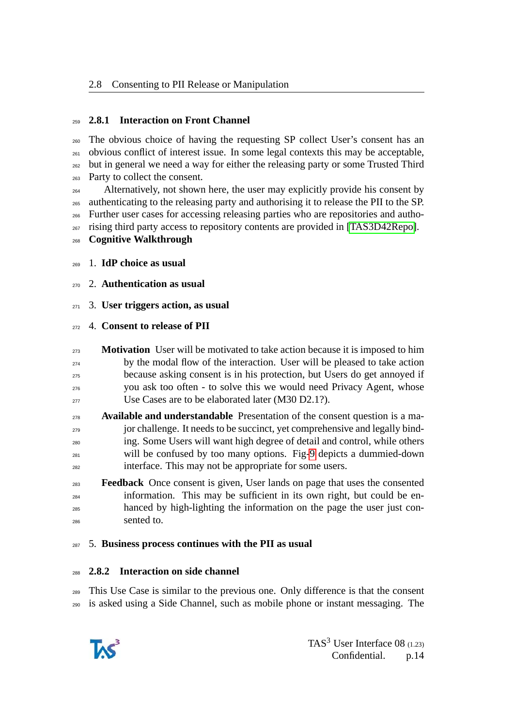#### <span id="page-13-0"></span>**2.8.1 Interaction on Front Channel**

 The obvious choice of having the requesting SP collect User's consent has an  $_{261}$  obvious conflict of interest issue. In some legal contexts this may be acceptable, but in general we need a way for either the releasing party or some Trusted Third Party to collect the consent.

 Alternatively, not shown here, the user may explicitly provide his consent by authenticating to the releasing party and authorising it to release the PII to the SP. Further user cases for accessing releasing parties who are repositories and autho-rising third party access to repository contents are provided in [\[TAS3D42Repo\]](#page-25-2).

- **Cognitive Walkthrough**
- 1. **IdP choice as usual**
- 2. **Authentication as usual**
- 3. **User triggers action, as usual**

#### 4. **Consent to release of PII**

- **Motivation** User will be motivated to take action because it is imposed to him by the modal flow of the interaction. User will be pleased to take action because asking consent is in his protection, but Users do get annoyed if you ask too often - to solve this we would need Privacy Agent, whose <sup>277</sup> Use Cases are to be elaborated later (M30 D2.1?).
- **Available and understandable** Presentation of the consent question is a ma-<sub>279</sub> jor challenge. It needs to be succinct, yet comprehensive and legally binding. Some Users will want high degree of detail and control, while others will be confused by too many options. Fig[-9](#page-14-0) depicts a dummied-down interface. This may not be appropriate for some users.
- **Feedback** Once consent is given, User lands on page that uses the consented information. This may be sufficient in its own right, but could be en- hanced by high-lighting the information on the page the user just con-sented to.

#### 5. **Business process continues with the PII as usual**

#### <span id="page-13-1"></span>**2.8.2 Interaction on side channel**

 This Use Case is similar to the previous one. Only difference is that the consent is asked using a Side Channel, such as mobile phone or instant messaging. The

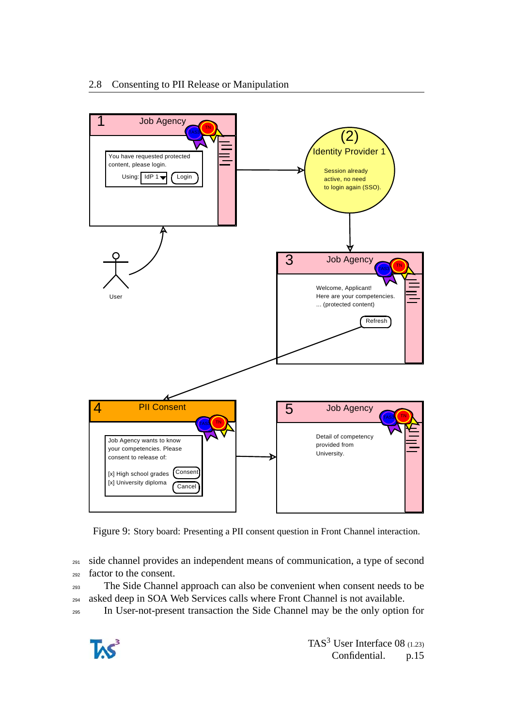

<span id="page-14-0"></span>Figure 9: Story board: Presenting a PII consent question in Front Channel interaction.

<sup>291</sup> side channel provides an independent means of communication, a type of second <sup>292</sup> factor to the consent.

<sup>293</sup> The Side Channel approach can also be convenient when consent needs to be <sup>294</sup> asked deep in SOA Web Services calls where Front Channel is not available.

<sup>295</sup> In User-not-present transaction the Side Channel may be the only option for

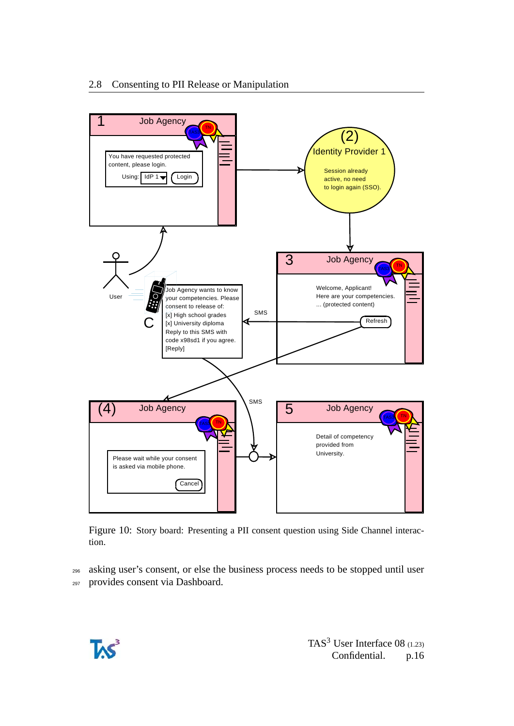

Figure 10: Story board: Presenting a PII consent question using Side Channel interaction.

<sup>296</sup> asking user's consent, or else the business process needs to be stopped until user <sup>297</sup> provides consent via Dashboard.

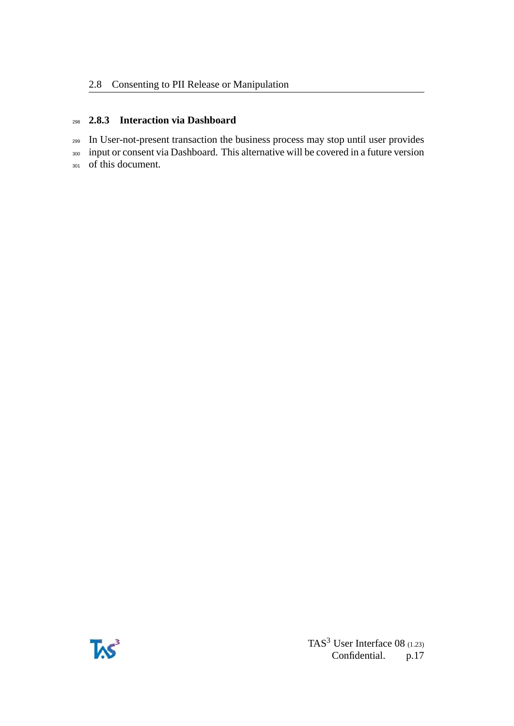#### <span id="page-16-0"></span><sup>298</sup> **2.8.3 Interaction via Dashboard**

<sup>299</sup> In User-not-present transaction the business process may stop until user provides <sup>300</sup> input or consent via Dashboard. This alternative will be covered in a future version <sup>301</sup> of this document.

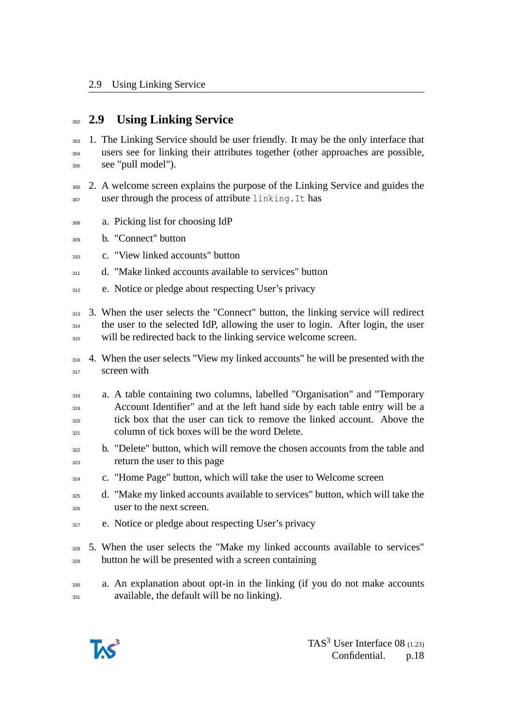### <span id="page-17-0"></span><sup>302</sup> **2.9 Using Linking Service**

- <sup>303</sup> 1. The Linking Service should be user friendly. It may be the only interface that <sup>304</sup> users see for linking their attributes together (other approaches are possible, <sup>305</sup> see "pull model").
- <sup>306</sup> 2. A welcome screen explains the purpose of the Linking Service and guides the 307 user through the process of attribute linking. It has
- <sup>308</sup> a. Picking list for choosing IdP
- <sup>309</sup> b. "Connect" button
- 310 c. "View linked accounts" button
- <sup>311</sup> d. "Make linked accounts available to services" button
- 312 e. Notice or pledge about respecting User's privacy
- <sup>313</sup> 3. When the user selects the "Connect" button, the linking service will redirect <sup>314</sup> the user to the selected IdP, allowing the user to login. After login, the user  $315$  will be redirected back to the linking service welcome screen.
- <sup>316</sup> 4. When the user selects "View my linked accounts" he will be presented with the <sup>317</sup> screen with
- <sup>318</sup> a. A table containing two columns, labelled "Organisation" and "Temporary 319 Account Identifier" and at the left hand side by each table entry will be a tick box that the user can tick to remove the linked account. Above the column of tick boxes will be the word Delete.
- <sup>322</sup> b. "Delete" button, which will remove the chosen accounts from the table and <sup>323</sup> return the user to this page
- c. "Home Page" button, which will take the user to Welcome screen
- <sup>325</sup> d. "Make my linked accounts available to services" button, which will take the user to the next screen.
- <sup>327</sup> e. Notice or pledge about respecting User's privacy
- <sup>328</sup> 5. When the user selects the "Make my linked accounts available to services" <sup>329</sup> button he will be presented with a screen containing
- <sup>330</sup> a. An explanation about opt-in in the linking (if you do not make accounts 331 available, the default will be no linking).

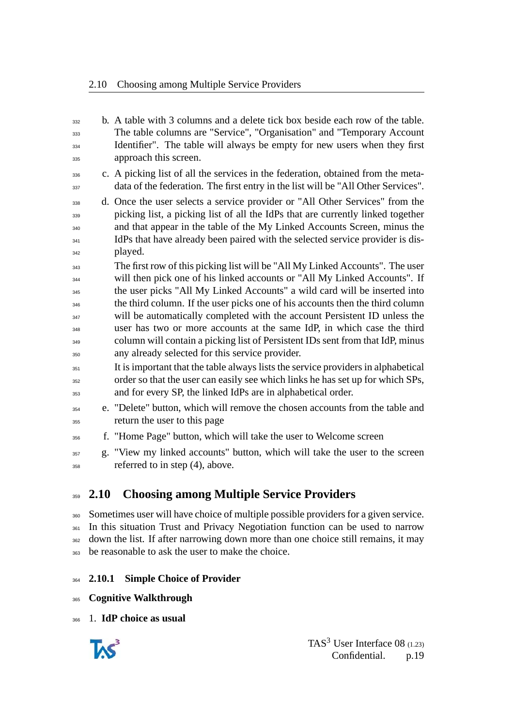b. A table with 3 columns and a delete tick box beside each row of the table. The table columns are "Service", "Organisation" and "Temporary Account <sup>334</sup> Identifier". The table will always be empty for new users when they first approach this screen. c. A picking list of all the services in the federation, obtained from the meta- data of the federation. The first entry in the list will be "All Other Services". d. Once the user selects a service provider or "All Other Services" from the picking list, a picking list of all the IdPs that are currently linked together and that appear in the table of the My Linked Accounts Screen, minus the <sup>341</sup> IdPs that have already been paired with the selected service provider is dis- played. The first row of this picking list will be "All My Linked Accounts". The user will then pick one of his linked accounts or "All My Linked Accounts". If the user picks "All My Linked Accounts" a wild card will be inserted into the third column. If the user picks one of his accounts then the third column <sup>347</sup> will be automatically completed with the account Persistent ID unless the user has two or more accounts at the same IdP, in which case the third column will contain a picking list of Persistent IDs sent from that IdP, minus any already selected for this service provider. It is important that the table always lists the service providers in alphabetical order so that the user can easily see which links he has set up for which SPs, and for every SP, the linked IdPs are in alphabetical order. e. "Delete" button, which will remove the chosen accounts from the table and return the user to this page f. "Home Page" button, which will take the user to Welcome screen g. "View my linked accounts" button, which will take the user to the screen referred to in step (4), above.

## <span id="page-18-0"></span>**2.10 Choosing among Multiple Service Providers**

 Sometimes user will have choice of multiple possible providers for a given service. In this situation Trust and Privacy Negotiation function can be used to narrow <sup>362</sup> down the list. If after narrowing down more than one choice still remains, it may 363 be reasonable to ask the user to make the choice.

#### <span id="page-18-1"></span>**2.10.1 Simple Choice of Provider**

**Cognitive Walkthrough**

1. **IdP choice as usual**

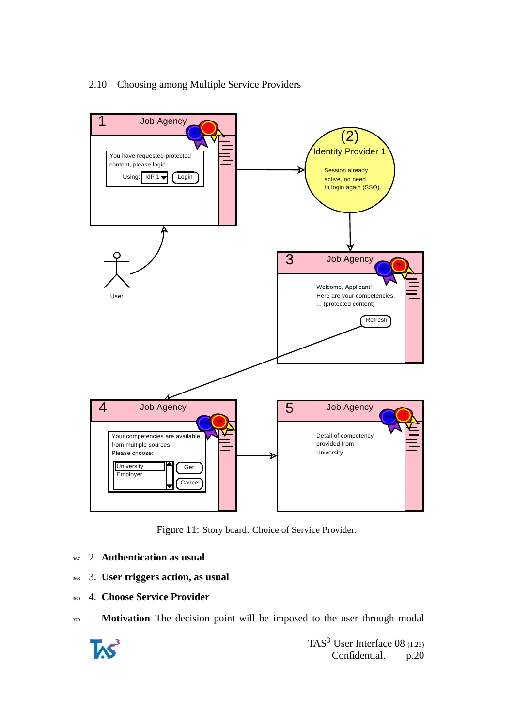

Figure 11: Story board: Choice of Service Provider.

- <sup>367</sup> 2. **Authentication as usual**
- <sup>368</sup> 3. **User triggers action, as usual**
- <sup>369</sup> 4. **Choose Service Provider**
- 370 **Motivation** The decision point will be imposed to the user through modal

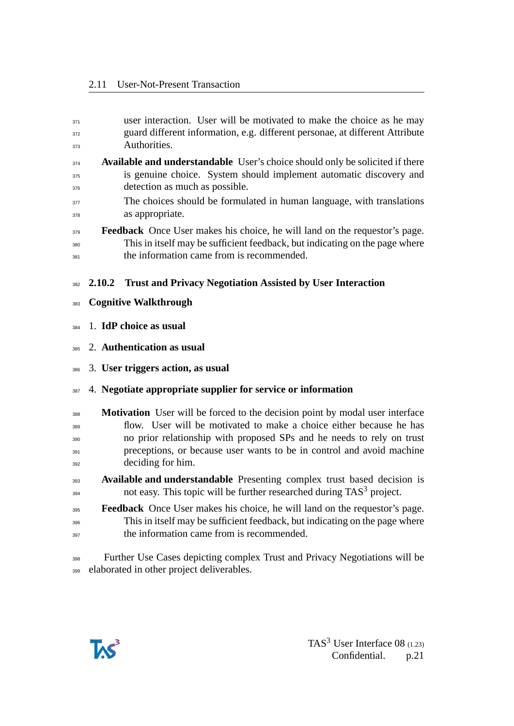<span id="page-20-0"></span>

| 371        | user interaction. User will be motivated to make the choice as he may                                                                                            |
|------------|------------------------------------------------------------------------------------------------------------------------------------------------------------------|
| 372        | guard different information, e.g. different personae, at different Attribute                                                                                     |
| 373        | Authorities.                                                                                                                                                     |
| 374        | Available and understandable User's choice should only be solicited if there                                                                                     |
| 375<br>376 | is genuine choice. System should implement automatic discovery and<br>detection as much as possible.                                                             |
| 377        | The choices should be formulated in human language, with translations                                                                                            |
| 378        | as appropriate.                                                                                                                                                  |
| 379<br>380 | <b>Feedback</b> Once User makes his choice, he will land on the requestor's page.<br>This in itself may be sufficient feedback, but indicating on the page where |
| 381        | the information came from is recommended.                                                                                                                        |
| 382        | <b>Trust and Privacy Negotiation Assisted by User Interaction</b><br>2.10.2                                                                                      |
|            |                                                                                                                                                                  |
| 383        | <b>Cognitive Walkthrough</b>                                                                                                                                     |
| 384        | 1. IdP choice as usual                                                                                                                                           |
| 385        | 2. Authentication as usual                                                                                                                                       |
| 386        | 3. User triggers action, as usual                                                                                                                                |
| 387        | 4. Negotiate appropriate supplier for service or information                                                                                                     |
| 388        | <b>Motivation</b> User will be forced to the decision point by modal user interface                                                                              |
| 389        | flow. User will be motivated to make a choice either because he has                                                                                              |
| 390        | no prior relationship with proposed SPs and he needs to rely on trust                                                                                            |
| 391        | preceptions, or because user wants to be in control and avoid machine                                                                                            |
| 392        | deciding for him.                                                                                                                                                |
| 393        | Available and understandable Presenting complex trust based decision is                                                                                          |
| 394        | not easy. This topic will be further researched during TAS <sup>3</sup> project.                                                                                 |
| 395        | <b>Feedback</b> Once User makes his choice, he will land on the requestor's page.                                                                                |
| 396        | This in itself may be sufficient feedback, but indicating on the page where                                                                                      |
| 397        | the information came from is recommended.                                                                                                                        |
|            |                                                                                                                                                                  |

 Further Use Cases depicting complex Trust and Privacy Negotiations will be elaborated in other project deliverables.

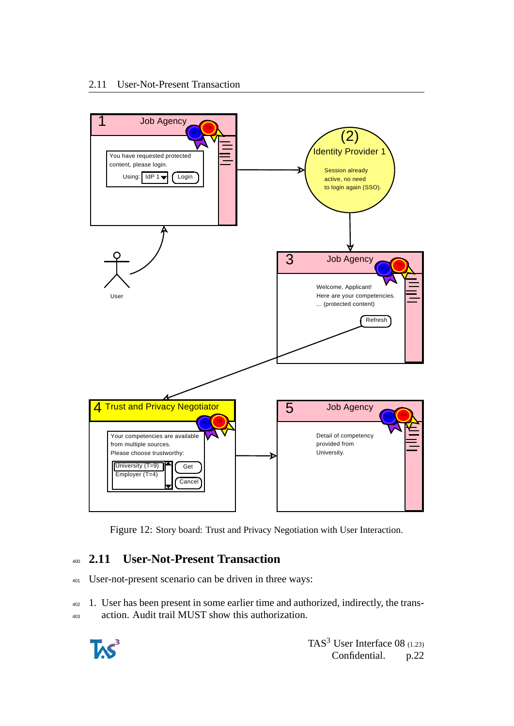

Figure 12: Story board: Trust and Privacy Negotiation with User Interaction.

## <span id="page-21-0"></span><sup>400</sup> **2.11 User-Not-Present Transaction**

<sup>401</sup> User-not-present scenario can be driven in three ways:

<sup>402</sup> 1. User has been present in some earlier time and authorized, indirectly, the trans-<sup>403</sup> action. Audit trail MUST show this authorization.

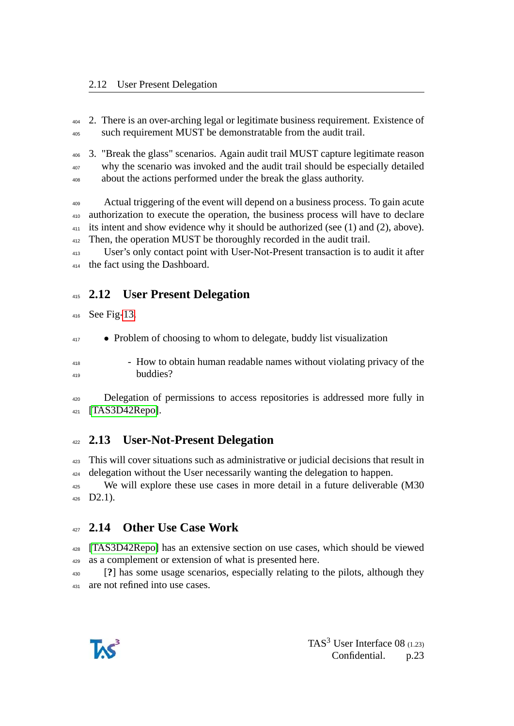2. There is an over-arching legal or legitimate business requirement. Existence of such requirement MUST be demonstratable from the audit trail.

 3. "Break the glass" scenarios. Again audit trail MUST capture legitimate reason why the scenario was invoked and the audit trail should be especially detailed about the actions performed under the break the glass authority.

 Actual triggering of the event will depend on a business process. To gain acute authorization to execute the operation, the business process will have to declare its intent and show evidence why it should be authorized (see (1) and (2), above). <sup>412</sup> Then, the operation MUST be thoroughly recorded in the audit trail.

 User's only contact point with User-Not-Present transaction is to audit it after the fact using the Dashboard.

## <span id="page-22-0"></span>**2.12 User Present Delegation**

See Fig[-13.](#page-23-1)

<sup>417</sup> • Problem of choosing to whom to delegate, buddy list visualization

 - How to obtain human readable names without violating privacy of the buddies?

 Delegation of permissions to access repositories is addressed more fully in [\[TAS3D42Repo\]](#page-25-2).

## <span id="page-22-1"></span>**2.13 User-Not-Present Delegation**

 This will cover situations such as administrative or judicial decisions that result in 424 delegation without the User necessarily wanting the delegation to happen.

<sup>425</sup> We will explore these use cases in more detail in a future deliverable (M30 D2.1).

## <span id="page-22-2"></span>**2.14 Other Use Case Work**

 [\[TAS3D42Repo\]](#page-25-2) has an extensive section on use cases, which should be viewed as a complement or extension of what is presented here.

 [**?**] has some usage scenarios, especially relating to the pilots, although they 431 are not refined into use cases.

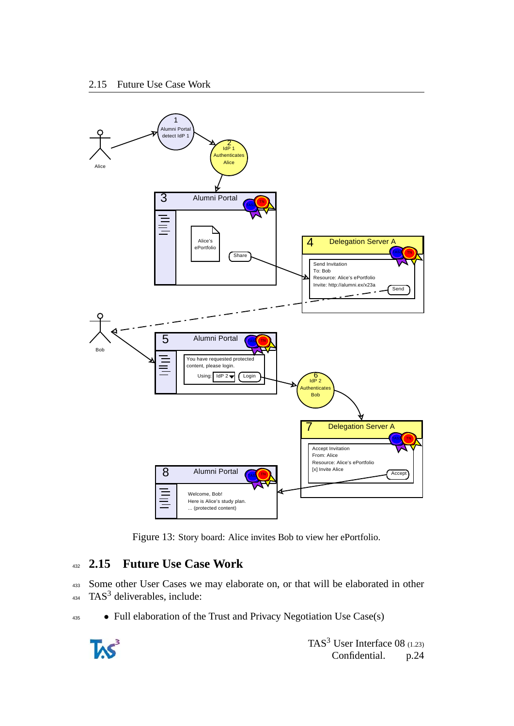

<span id="page-23-1"></span>Figure 13: Story board: Alice invites Bob to view her ePortfolio.

### <span id="page-23-0"></span><sup>432</sup> **2.15 Future Use Case Work**

<sup>433</sup> Some other User Cases we may elaborate on, or that will be elaborated in other  $434$  TAS<sup>3</sup> deliverables, include:

<sup>435</sup> • Full elaboration of the Trust and Privacy Negotiation Use Case(s)

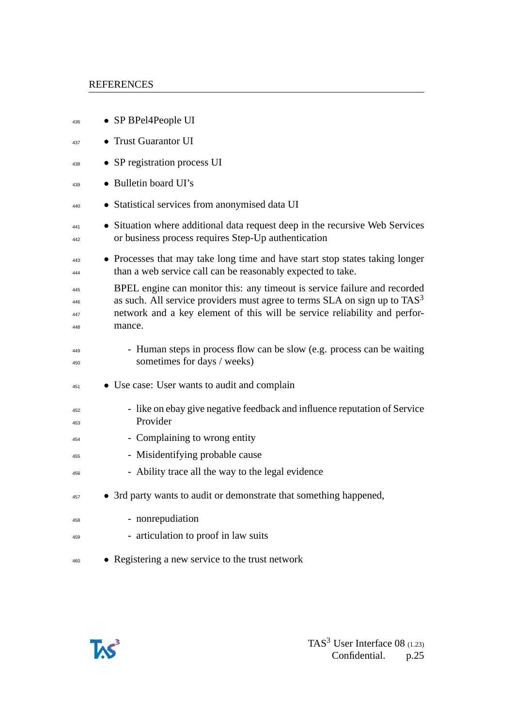#### REFERENCES

| 436                      | • SP BPel4People UI                                                                                                                                                                                                                               |
|--------------------------|---------------------------------------------------------------------------------------------------------------------------------------------------------------------------------------------------------------------------------------------------|
| 437                      | • Trust Guarantor UI                                                                                                                                                                                                                              |
| 438                      | • SP registration process UI                                                                                                                                                                                                                      |
| 439                      | • Bulletin board UI's                                                                                                                                                                                                                             |
| 440                      | • Statistical services from anonymised data UI                                                                                                                                                                                                    |
| 441<br>442               | • Situation where additional data request deep in the recursive Web Services<br>or business process requires Step-Up authentication                                                                                                               |
| 443<br>444               | • Processes that may take long time and have start stop states taking longer<br>than a web service call can be reasonably expected to take.                                                                                                       |
| 445<br>446<br>447<br>448 | BPEL engine can monitor this: any timeout is service failure and recorded<br>as such. All service providers must agree to terms $SLA$ on sign up to $TAS3$<br>network and a key element of this will be service reliability and perfor-<br>mance. |
| 449<br>450               | - Human steps in process flow can be slow (e.g. process can be waiting<br>sometimes for days / weeks)                                                                                                                                             |
| 451                      | • Use case: User wants to audit and complain                                                                                                                                                                                                      |
| 452<br>453               | - like on ebay give negative feedback and influence reputation of Service<br>Provider                                                                                                                                                             |
| 454                      | - Complaining to wrong entity                                                                                                                                                                                                                     |
| 455                      | - Misidentifying probable cause                                                                                                                                                                                                                   |
| 456                      | - Ability trace all the way to the legal evidence                                                                                                                                                                                                 |
| 457                      | • 3rd party wants to audit or demonstrate that something happened,                                                                                                                                                                                |
| 458                      | - nonrepudiation                                                                                                                                                                                                                                  |
| 459                      | - articulation to proof in law suits                                                                                                                                                                                                              |
| 460                      | • Registering a new service to the trust network                                                                                                                                                                                                  |

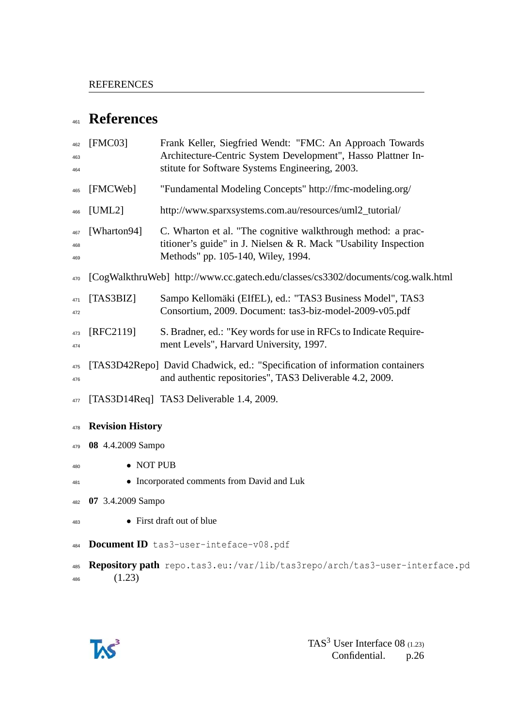## **References**

<span id="page-25-2"></span><span id="page-25-1"></span><span id="page-25-0"></span> [FMC03] Frank Keller, Siegfried Wendt: "FMC: An Approach Towards Architecture-Centric System Development", Hasso Plattner In- stitute for Software Systems Engineering, 2003. [FMCWeb] "Fundamental Modeling Concepts" http://fmc-modeling.org/ [UML2] http://www.sparxsystems.com.au/resources/uml2\_tutorial/ [Wharton94] C. Wharton et al. "The cognitive walkthrough method: a prac- titioner's guide" in J. Nielsen & R. Mack "Usability Inspection Methods" pp. 105-140, Wiley, 1994. [CogWalkthruWeb] http://www.cc.gatech.edu/classes/cs3302/documents/cog.walk.html [TAS3BIZ] Sampo Kellomäki (EIfEL), ed.: "TAS3 Business Model", TAS3 Consortium, 2009. Document: tas3-biz-model-2009-v05.pdf [RFC2119] S. Bradner, ed.: "Key words for use in RFCs to Indicate Require- ment Levels", Harvard University, 1997. [TAS3D42Repo] David Chadwick, ed.: "Specification of information containers and authentic repositories", TAS3 Deliverable 4.2, 2009. 477 [TAS3D14Req] TAS3 Deliverable 1.4, 2009. **Revision History 08** 4.4.2009 Sampo • NOT PUB • Incorporated comments from David and Luk **07** 3.4.2009 Sampo • First draft out of blue **Document ID** tas3-user-inteface-v08.pdf **Repository path** repo.tas3.eu:/var/lib/tas3repo/arch/tas3-user-interface.pd (1.23)